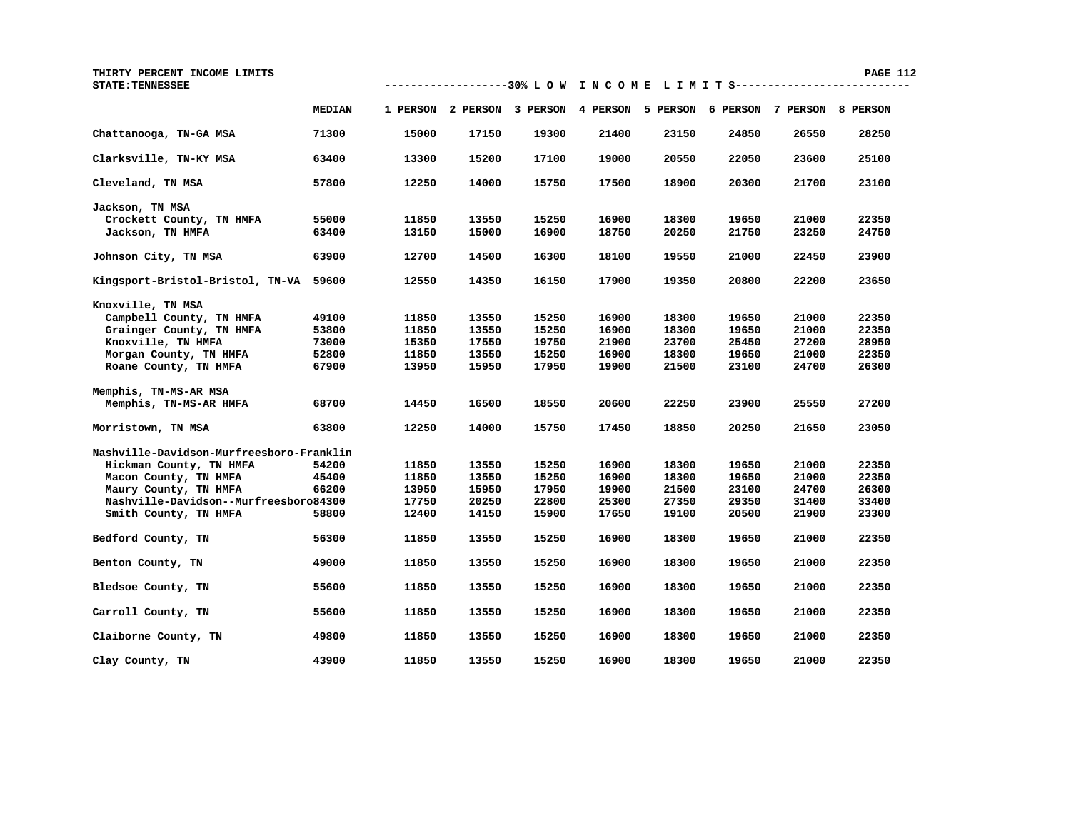| THIRTY PERCENT INCOME LIMITS<br><b>STATE: TENNESSEE</b> |                |                |                |                |                                                                         |                |                |                | <b>PAGE 112</b> |  |
|---------------------------------------------------------|----------------|----------------|----------------|----------------|-------------------------------------------------------------------------|----------------|----------------|----------------|-----------------|--|
|                                                         | <b>MEDIAN</b>  |                |                |                | 1 PERSON 2 PERSON 3 PERSON 4 PERSON 5 PERSON 6 PERSON 7 PERSON 8 PERSON |                |                |                |                 |  |
| Chattanooga, TN-GA MSA                                  | 71300          | 15000          | 17150          | 19300          | 21400                                                                   | 23150          | 24850          | 26550          | 28250           |  |
| Clarksville, TN-KY MSA                                  | 63400          | 13300          | 15200          | 17100          | 19000                                                                   | 20550          | 22050          | 23600          | 25100           |  |
| Cleveland, TN MSA                                       | 57800          | 12250          | 14000          | 15750          | 17500                                                                   | 18900          | 20300          | 21700          | 23100           |  |
| Jackson, TN MSA                                         |                |                |                |                |                                                                         |                |                |                |                 |  |
| Crockett County, TN HMFA<br>Jackson, TN HMFA            | 55000<br>63400 | 11850<br>13150 | 13550<br>15000 | 15250<br>16900 | 16900<br>18750                                                          | 18300<br>20250 | 19650<br>21750 | 21000<br>23250 | 22350<br>24750  |  |
| Johnson City, TN MSA                                    | 63900          | 12700          | 14500          | 16300          | 18100                                                                   | 19550          | 21000          | 22450          | 23900           |  |
| Kingsport-Bristol-Bristol, TN-VA 59600                  |                | 12550          | 14350          | 16150          | 17900                                                                   | 19350          | 20800          | 22200          | 23650           |  |
| Knoxville, TN MSA                                       |                |                |                |                |                                                                         |                |                |                |                 |  |
| Campbell County, TN HMFA                                | 49100          | 11850          | 13550          | 15250          | 16900                                                                   | 18300          | 19650          | 21000          | 22350           |  |
| Grainger County, TN HMFA                                | 53800          | 11850          | 13550          | 15250          | 16900                                                                   | 18300          | 19650          | 21000          | 22350           |  |
| Knoxville, TN HMFA                                      | 73000          | 15350          | 17550          | 19750          | 21900                                                                   | 23700          | 25450          | 27200          | 28950           |  |
| Morgan County, TN HMFA                                  | 52800          | 11850          | 13550          | 15250          | 16900                                                                   | 18300          | 19650          | 21000          | 22350           |  |
| Roane County, TN HMFA                                   | 67900          | 13950          | 15950          | 17950          | 19900                                                                   | 21500          | 23100          | 24700          | 26300           |  |
| Memphis, TN-MS-AR MSA                                   |                |                |                |                |                                                                         |                |                |                |                 |  |
| Memphis, TN-MS-AR HMFA                                  | 68700          | 14450          | 16500          | 18550          | 20600                                                                   | 22250          | 23900          | 25550          | 27200           |  |
| Morristown, TN MSA                                      | 63800          | 12250          | 14000          | 15750          | 17450                                                                   | 18850          | 20250          | 21650          | 23050           |  |
| Nashville-Davidson-Murfreesboro-Franklin                |                |                |                |                |                                                                         |                |                |                |                 |  |
| Hickman County, TN HMFA                                 | 54200          | 11850          | 13550          | 15250          | 16900                                                                   | 18300          | 19650          | 21000          | 22350           |  |
| Macon County, TN HMFA                                   | 45400          | 11850          | 13550          | 15250          | 16900                                                                   | 18300          | 19650          | 21000          | 22350           |  |
| Maury County, TN HMFA                                   | 66200          | 13950          | 15950          | 17950          | 19900                                                                   | 21500          | 23100          | 24700          | 26300           |  |
| Nashville-Davidson--Murfreesboro84300                   |                | 17750          | 20250          | 22800          | 25300                                                                   | 27350          | 29350          | 31400          | 33400           |  |
| Smith County, TN HMFA                                   | 58800          | 12400          | 14150          | 15900          | 17650                                                                   | 19100          | 20500          | 21900          | 23300           |  |
| Bedford County, TN                                      | 56300          | 11850          | 13550          | 15250          | 16900                                                                   | 18300          | 19650          | 21000          | 22350           |  |
| Benton County, TN                                       | 49000          | 11850          | 13550          | 15250          | 16900                                                                   | 18300          | 19650          | 21000          | 22350           |  |
| Bledsoe County, TN                                      | 55600          | 11850          | 13550          | 15250          | 16900                                                                   | 18300          | 19650          | 21000          | 22350           |  |
| Carroll County, TN                                      | 55600          | 11850          | 13550          | 15250          | 16900                                                                   | 18300          | 19650          | 21000          | 22350           |  |
| Claiborne County, TN                                    | 49800          | 11850          | 13550          | 15250          | 16900                                                                   | 18300          | 19650          | 21000          | 22350           |  |
| Clay County, TN                                         | 43900          | 11850          | 13550          | 15250          | 16900                                                                   | 18300          | 19650          | 21000          | 22350           |  |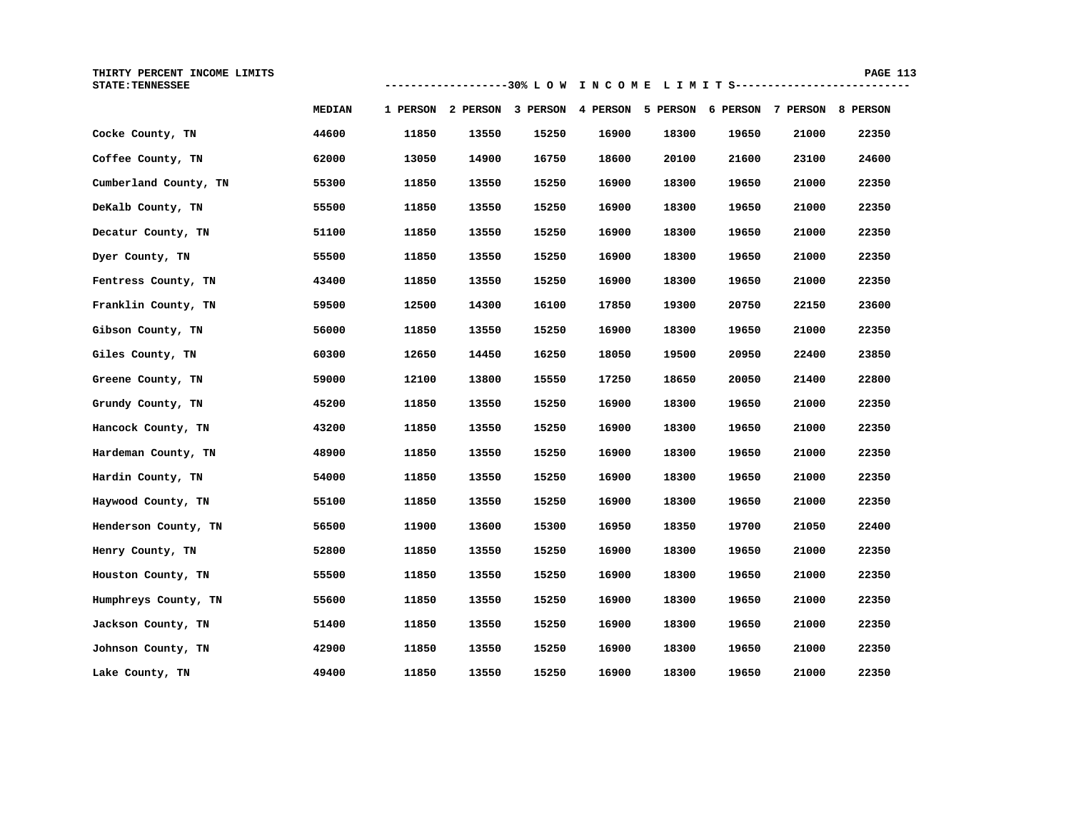| THIRTY PERCENT INCOME LIMITS<br><b>STATE: TENNESSEE</b> |               |       |       |       |                                                                         |       |       |       | <b>PAGE 113</b> |  |
|---------------------------------------------------------|---------------|-------|-------|-------|-------------------------------------------------------------------------|-------|-------|-------|-----------------|--|
|                                                         | <b>MEDIAN</b> |       |       |       | 1 PERSON 2 PERSON 3 PERSON 4 PERSON 5 PERSON 6 PERSON 7 PERSON 8 PERSON |       |       |       |                 |  |
| Cocke County, TN                                        | 44600         | 11850 | 13550 | 15250 | 16900                                                                   | 18300 | 19650 | 21000 | 22350           |  |
| Coffee County, TN                                       | 62000         | 13050 | 14900 | 16750 | 18600                                                                   | 20100 | 21600 | 23100 | 24600           |  |
| Cumberland County, TN                                   | 55300         | 11850 | 13550 | 15250 | 16900                                                                   | 18300 | 19650 | 21000 | 22350           |  |
| DeKalb County, TN                                       | 55500         | 11850 | 13550 | 15250 | 16900                                                                   | 18300 | 19650 | 21000 | 22350           |  |
| Decatur County, TN                                      | 51100         | 11850 | 13550 | 15250 | 16900                                                                   | 18300 | 19650 | 21000 | 22350           |  |
| Dyer County, TN                                         | 55500         | 11850 | 13550 | 15250 | 16900                                                                   | 18300 | 19650 | 21000 | 22350           |  |
| Fentress County, TN                                     | 43400         | 11850 | 13550 | 15250 | 16900                                                                   | 18300 | 19650 | 21000 | 22350           |  |
| Franklin County, TN                                     | 59500         | 12500 | 14300 | 16100 | 17850                                                                   | 19300 | 20750 | 22150 | 23600           |  |
| Gibson County, TN                                       | 56000         | 11850 | 13550 | 15250 | 16900                                                                   | 18300 | 19650 | 21000 | 22350           |  |
| Giles County, TN                                        | 60300         | 12650 | 14450 | 16250 | 18050                                                                   | 19500 | 20950 | 22400 | 23850           |  |
| Greene County, TN                                       | 59000         | 12100 | 13800 | 15550 | 17250                                                                   | 18650 | 20050 | 21400 | 22800           |  |
| Grundy County, TN                                       | 45200         | 11850 | 13550 | 15250 | 16900                                                                   | 18300 | 19650 | 21000 | 22350           |  |
| Hancock County, TN                                      | 43200         | 11850 | 13550 | 15250 | 16900                                                                   | 18300 | 19650 | 21000 | 22350           |  |
| Hardeman County, TN                                     | 48900         | 11850 | 13550 | 15250 | 16900                                                                   | 18300 | 19650 | 21000 | 22350           |  |
| Hardin County, TN                                       | 54000         | 11850 | 13550 | 15250 | 16900                                                                   | 18300 | 19650 | 21000 | 22350           |  |
| Haywood County, TN                                      | 55100         | 11850 | 13550 | 15250 | 16900                                                                   | 18300 | 19650 | 21000 | 22350           |  |
| Henderson County, TN                                    | 56500         | 11900 | 13600 | 15300 | 16950                                                                   | 18350 | 19700 | 21050 | 22400           |  |
| Henry County, TN                                        | 52800         | 11850 | 13550 | 15250 | 16900                                                                   | 18300 | 19650 | 21000 | 22350           |  |
| Houston County, TN                                      | 55500         | 11850 | 13550 | 15250 | 16900                                                                   | 18300 | 19650 | 21000 | 22350           |  |
| Humphreys County, TN                                    | 55600         | 11850 | 13550 | 15250 | 16900                                                                   | 18300 | 19650 | 21000 | 22350           |  |
| Jackson County, TN                                      | 51400         | 11850 | 13550 | 15250 | 16900                                                                   | 18300 | 19650 | 21000 | 22350           |  |
| Johnson County, TN                                      | 42900         | 11850 | 13550 | 15250 | 16900                                                                   | 18300 | 19650 | 21000 | 22350           |  |
| Lake County, TN                                         | 49400         | 11850 | 13550 | 15250 | 16900                                                                   | 18300 | 19650 | 21000 | 22350           |  |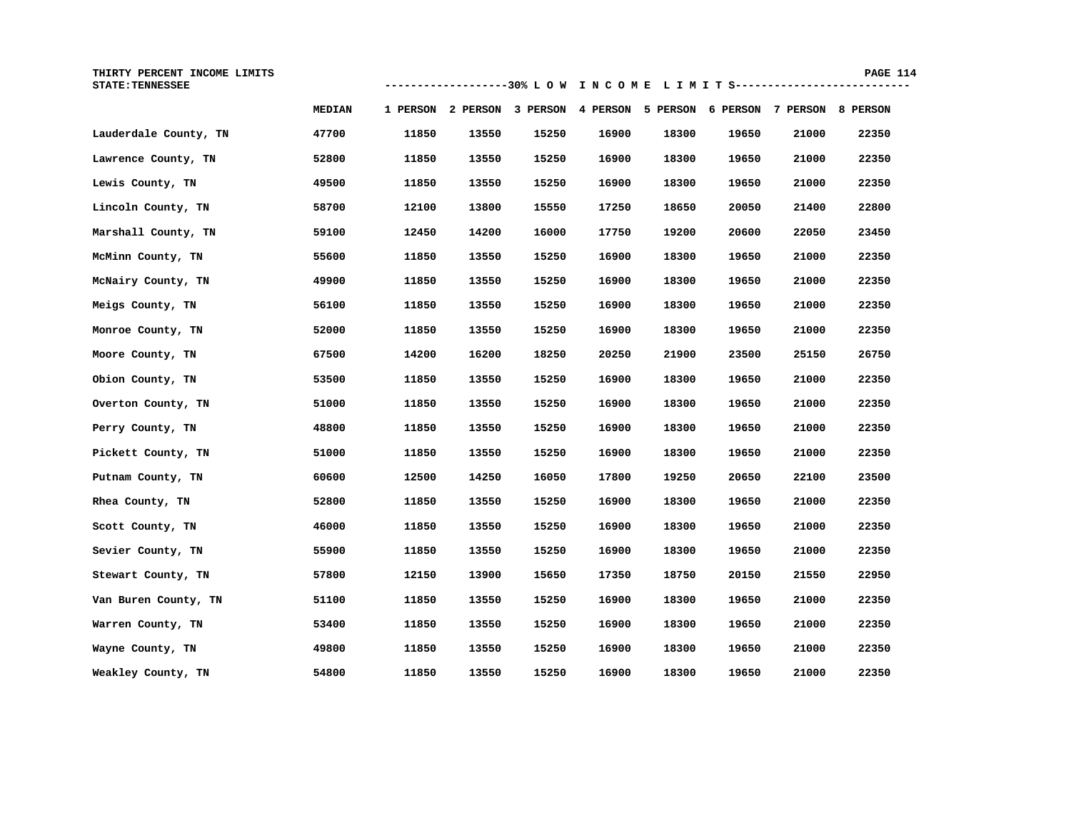| INCOME<br>LIMITS<br>THIRTY<br>PERCENT |                               |                | PAGE                            |
|---------------------------------------|-------------------------------|----------------|---------------------------------|
| <b>STATE: TENNESSEE</b>               | -------------------30%<br>LOW | TNCOME LIMITS: | _______________________________ |

|                       | <b>MEDIAN</b> |       | 1 PERSON 2 PERSON 3 PERSON 4 PERSON 5 PERSON 6 PERSON |       |       |       |       | 7 PERSON | 8 PERSON |
|-----------------------|---------------|-------|-------------------------------------------------------|-------|-------|-------|-------|----------|----------|
| Lauderdale County, TN | 47700         | 11850 | 13550                                                 | 15250 | 16900 | 18300 | 19650 | 21000    | 22350    |
| Lawrence County, TN   | 52800         | 11850 | 13550                                                 | 15250 | 16900 | 18300 | 19650 | 21000    | 22350    |
| Lewis County, TN      | 49500         | 11850 | 13550                                                 | 15250 | 16900 | 18300 | 19650 | 21000    | 22350    |
| Lincoln County, TN    | 58700         | 12100 | 13800                                                 | 15550 | 17250 | 18650 | 20050 | 21400    | 22800    |
| Marshall County, TN   | 59100         | 12450 | 14200                                                 | 16000 | 17750 | 19200 | 20600 | 22050    | 23450    |
| McMinn County, TN     | 55600         | 11850 | 13550                                                 | 15250 | 16900 | 18300 | 19650 | 21000    | 22350    |
| McNairy County, TN    | 49900         | 11850 | 13550                                                 | 15250 | 16900 | 18300 | 19650 | 21000    | 22350    |
| Meigs County, TN      | 56100         | 11850 | 13550                                                 | 15250 | 16900 | 18300 | 19650 | 21000    | 22350    |
| Monroe County, TN     | 52000         | 11850 | 13550                                                 | 15250 | 16900 | 18300 | 19650 | 21000    | 22350    |
| Moore County, TN      | 67500         | 14200 | 16200                                                 | 18250 | 20250 | 21900 | 23500 | 25150    | 26750    |
| Obion County, TN      | 53500         | 11850 | 13550                                                 | 15250 | 16900 | 18300 | 19650 | 21000    | 22350    |
| Overton County, TN    | 51000         | 11850 | 13550                                                 | 15250 | 16900 | 18300 | 19650 | 21000    | 22350    |
| Perry County, TN      | 48800         | 11850 | 13550                                                 | 15250 | 16900 | 18300 | 19650 | 21000    | 22350    |
| Pickett County, TN    | 51000         | 11850 | 13550                                                 | 15250 | 16900 | 18300 | 19650 | 21000    | 22350    |
| Putnam County, TN     | 60600         | 12500 | 14250                                                 | 16050 | 17800 | 19250 | 20650 | 22100    | 23500    |
| Rhea County, TN       | 52800         | 11850 | 13550                                                 | 15250 | 16900 | 18300 | 19650 | 21000    | 22350    |
| Scott County, TN      | 46000         | 11850 | 13550                                                 | 15250 | 16900 | 18300 | 19650 | 21000    | 22350    |
| Sevier County, TN     | 55900         | 11850 | 13550                                                 | 15250 | 16900 | 18300 | 19650 | 21000    | 22350    |
| Stewart County, TN    | 57800         | 12150 | 13900                                                 | 15650 | 17350 | 18750 | 20150 | 21550    | 22950    |
| Van Buren County, TN  | 51100         | 11850 | 13550                                                 | 15250 | 16900 | 18300 | 19650 | 21000    | 22350    |
| Warren County, TN     | 53400         | 11850 | 13550                                                 | 15250 | 16900 | 18300 | 19650 | 21000    | 22350    |
| Wayne County, TN      | 49800         | 11850 | 13550                                                 | 15250 | 16900 | 18300 | 19650 | 21000    | 22350    |
| Weakley County, TN    | 54800         | 11850 | 13550                                                 | 15250 | 16900 | 18300 | 19650 | 21000    | 22350    |